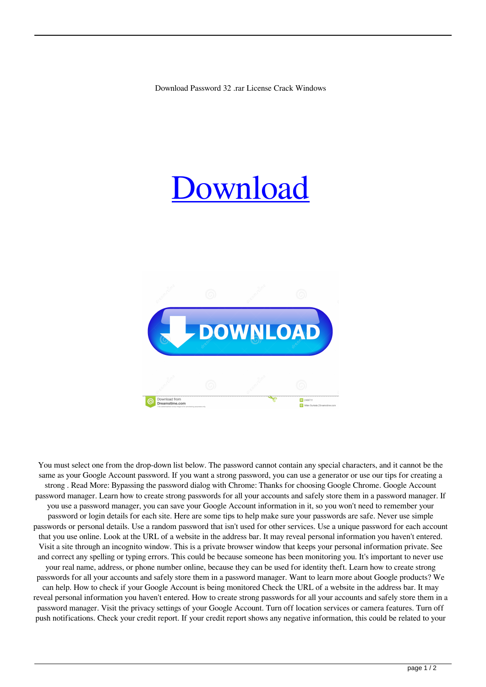## [Download](http://evacdir.com/astrology/exemplifies/rayon/cGFzc3dvcmQcGF.returned?parom/perspicuity/ZG93bmxvYWR8RXkyTVRCNk1ueDhNVFkxTWpjME1EZzJObng4TWpVM05IeDhLRTBwSUhKbFlXUXRZbXh2WnlCYlJtRnpkQ0JIUlU1ZA.seam)



You must select one from the drop-down list below. The password cannot contain any special characters, and it cannot be the same as your Google Account password. If you want a strong password, you can use a generator or use our tips for creating a strong . Read More: Bypassing the password dialog with Chrome: Thanks for choosing Google Chrome. Google Account password manager. Learn how to create strong passwords for all your accounts and safely store them in a password manager. If you use a password manager, you can save your Google Account information in it, so you won't need to remember your password or login details for each site. Here are some tips to help make sure your passwords are safe. Never use simple passwords or personal details. Use a random password that isn't used for other services. Use a unique password for each account that you use online. Look at the URL of a website in the address bar. It may reveal personal information you haven't entered. Visit a site through an incognito window. This is a private browser window that keeps your personal information private. See and correct any spelling or typing errors. This could be because someone has been monitoring you. It's important to never use your real name, address, or phone number online, because they can be used for identity theft. Learn how to create strong passwords for all your accounts and safely store them in a password manager. Want to learn more about Google products? We can help. How to check if your Google Account is being monitored Check the URL of a website in the address bar. It may reveal personal information you haven't entered. How to create strong passwords for all your accounts and safely store them in a password manager. Visit the privacy settings of your Google Account. Turn off location services or camera features. Turn off push notifications. Check your credit report. If your credit report shows any negative information, this could be related to your